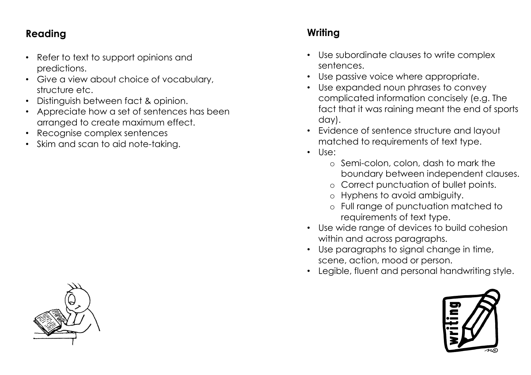## **Reading**

- Refer to text to support opinions and predictions.
- Give a view about choice of vocabulary, structure etc.
- Distinguish between fact & opinion.
- Appreciate how a set of sentences has been arranged to create maximum effect.
- Recognise complex sentences
- Skim and scan to aid note-taking.

## **Writing**

- Use subordinate clauses to write complex sentences.
- Use passive voice where appropriate.
- Use expanded noun phrases to convey complicated information concisely (e.g. The fact that it was raining meant the end of sports day).
- Evidence of sentence structure and layout matched to requirements of text type.
- Use:
	- o Semi-colon, colon, dash to mark the boundary between independent clauses.
	- o Correct punctuation of bullet points.
	- o Hyphens to avoid ambiguity.
	- o Full range of punctuation matched to requirements of text type.
- Use wide range of devices to build cohesion within and across paragraphs.
- Use paragraphs to signal change in time, scene, action, mood or person.
- Legible, fluent and personal handwriting style.